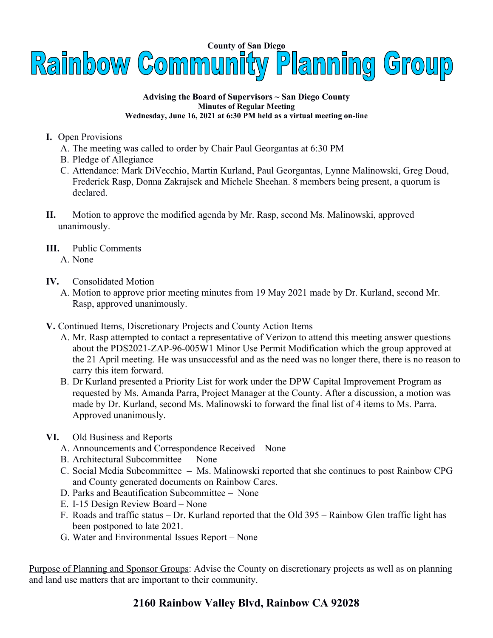

## **Advising the Board of Supervisors ~ San Diego County Minutes of Regular Meeting Wednesday, June 16, 2021 at 6:30 PM held as a virtual meeting on-line**

- **I.** Open Provisions
	- A. The meeting was called to order by Chair Paul Georgantas at 6:30 PM
	- B. Pledge of Allegiance
	- C. Attendance: Mark DiVecchio, Martin Kurland, Paul Georgantas, Lynne Malinowski, Greg Doud, Frederick Rasp, Donna Zakrajsek and Michele Sheehan. 8 members being present, a quorum is declared.
- **II.** Motion to approve the modified agenda by Mr. Rasp, second Ms. Malinowski, approved unanimously.
- **III.** Public Comments
	- A. None
- **IV.** Consolidated Motion
	- A. Motion to approve prior meeting minutes from 19 May 2021 made by Dr. Kurland, second Mr. Rasp, approved unanimously.
- **V.** Continued Items, Discretionary Projects and County Action Items
	- A. Mr. Rasp attempted to contact a representative of Verizon to attend this meeting answer questions about the PDS2021-ZAP-96-005W1 Minor Use Permit Modification which the group approved at the 21 April meeting. He was unsuccessful and as the need was no longer there, there is no reason to carry this item forward.
	- B. Dr Kurland presented a Priority List for work under the DPW Capital Improvement Program as requested by Ms. Amanda Parra, Project Manager at the County. After a discussion, a motion was made by Dr. Kurland, second Ms. Malinowski to forward the final list of 4 items to Ms. Parra. Approved unanimously.
- **VI.** Old Business and Reports
	- A. Announcements and Correspondence Received None
	- B. Architectural Subcommittee None
	- C. Social Media Subcommittee Ms. Malinowski reported that she continues to post Rainbow CPG and County generated documents on Rainbow Cares.
	- D. Parks and Beautification Subcommittee None
	- E. I-15 Design Review Board None
	- F. Roads and traffic status Dr. Kurland reported that the Old 395 Rainbow Glen traffic light has been postponed to late 2021.
	- G. Water and Environmental Issues Report None

Purpose of Planning and Sponsor Groups: Advise the County on discretionary projects as well as on planning and land use matters that are important to their community.

## **2160 Rainbow Valley Blvd, Rainbow CA 92028**